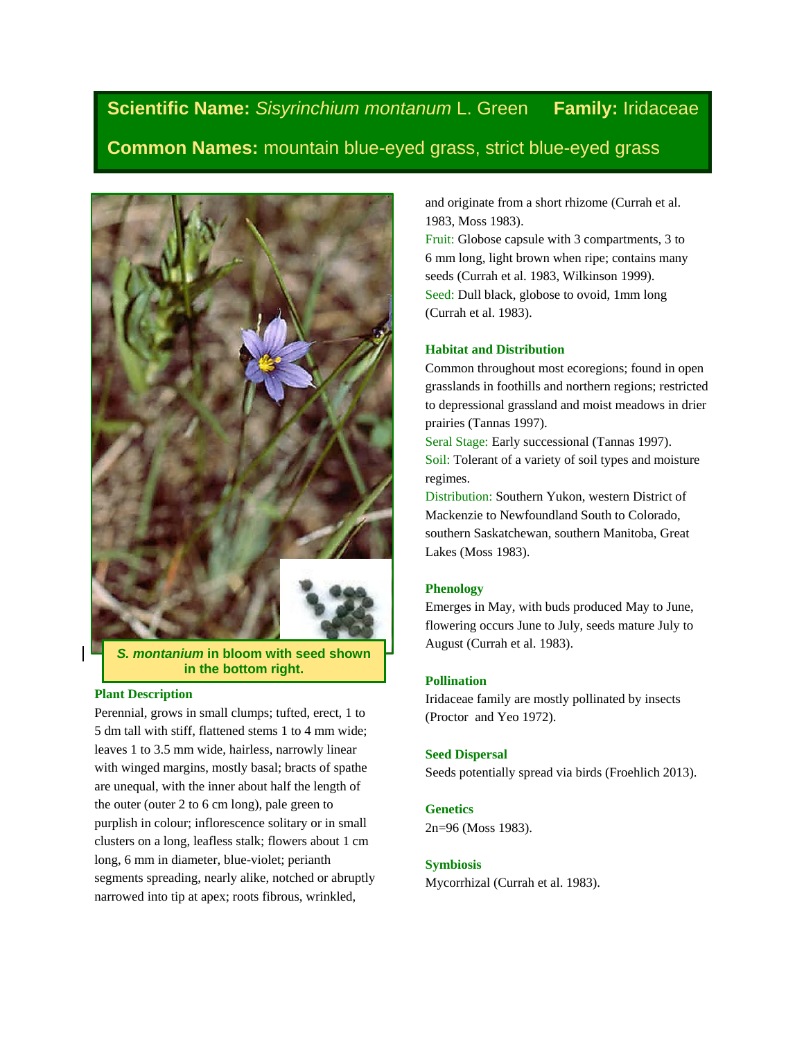**Scientific Name:** *Sisyrinchium montanum* L. Green **Family:** Iridaceae **Common Names:** mountain blue-eyed grass, strict blue-eyed grass



*S. montanium* **in bloom with seed shown in the bottom right.**

### **Plant Description**

Perennial, grows in small clumps; tufted, erect, 1 to 5 dm tall with stiff, flattened stems 1 to 4 mm wide; leaves 1 to 3.5 mm wide, hairless, narrowly linear with winged margins, mostly basal; bracts of spathe are unequal, with the inner about half the length of the outer (outer 2 to 6 cm long), pale green to purplish in colour; inflorescence solitary or in small clusters on a long, leafless stalk; flowers about 1 cm long, 6 mm in diameter, blue-violet; perianth segments spreading, nearly alike, notched or abruptly narrowed into tip at apex; roots fibrous, wrinkled,

and originate from a short rhizome (Currah et al. 1983, Moss 1983).

Fruit: Globose capsule with 3 compartments, 3 to 6 mm long, light brown when ripe; contains many seeds (Currah et al. 1983, Wilkinson 1999). Seed: Dull black, globose to ovoid, 1mm long (Currah et al. 1983).

### **Habitat and Distribution**

Common throughout most ecoregions; found in open grasslands in foothills and northern regions; restricted to depressional grassland and moist meadows in drier prairies (Tannas 1997).

Seral Stage: Early successional (Tannas 1997). Soil: Tolerant of a variety of soil types and moisture regimes.

Distribution: Southern Yukon, western District of Mackenzie to Newfoundland South to Colorado, southern Saskatchewan, southern Manitoba, Great Lakes (Moss 1983).

#### **Phenology**

Emerges in May, with buds produced May to June, flowering occurs June to July, seeds mature July to August (Currah et al. 1983).

# **Pollination**

Iridaceae family are mostly pollinated by insects (Proctor and Yeo 1972).

### **Seed Dispersal**

Seeds potentially spread via birds (Froehlich 2013).

# **Genetics**

2n=96 (Moss 1983).

## **Symbiosis**

Mycorrhizal (Currah et al. 1983).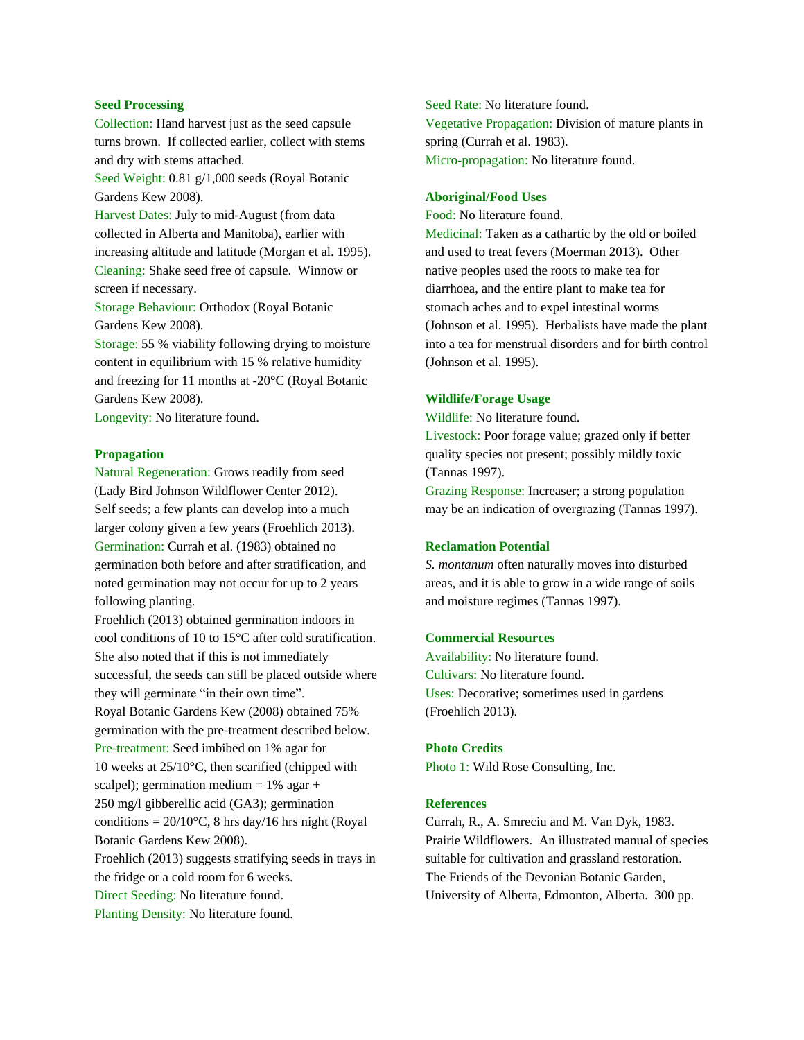## **Seed Processing**

Collection: Hand harvest just as the seed capsule turns brown. If collected earlier, collect with stems and dry with stems attached.

Seed Weight: 0.81 g/1,000 seeds (Royal Botanic Gardens Kew 2008).

Harvest Dates: July to mid-August (from data collected in Alberta and Manitoba), earlier with increasing altitude and latitude (Morgan et al. 1995). Cleaning: Shake seed free of capsule. Winnow or screen if necessary.

Storage Behaviour: Orthodox (Royal Botanic Gardens Kew 2008).

Storage: 55 % viability following drying to moisture content in equilibrium with 15 % relative humidity and freezing for 11 months at -20°C (Royal Botanic Gardens Kew 2008).

Longevity: No literature found.

### **Propagation**

Natural Regeneration: Grows readily from seed (Lady Bird Johnson Wildflower Center 2012). Self seeds; a few plants can develop into a much larger colony given a few years (Froehlich 2013). Germination: Currah et al. (1983) obtained no germination both before and after stratification, and noted germination may not occur for up to 2 years following planting.

Froehlich (2013) obtained germination indoors in cool conditions of 10 to 15°C after cold stratification. She also noted that if this is not immediately successful, the seeds can still be placed outside where they will germinate "in their own time".

Royal Botanic Gardens Kew (2008) obtained 75% germination with the pre-treatment described below.

Pre-treatment: Seed imbibed on 1% agar for 10 weeks at 25/10°C, then scarified (chipped with

scalpel); germination medium  $= 1\%$  agar + 250 mg/l gibberellic acid (GA3); germination

conditions =  $20/10^{\circ}$ C, 8 hrs day/16 hrs night (Royal Botanic Gardens Kew 2008).

Froehlich (2013) suggests stratifying seeds in trays in the fridge or a cold room for 6 weeks.

Direct Seeding: No literature found.

Planting Density: No literature found.

Seed Rate: No literature found. Vegetative Propagation: Division of mature plants in spring (Currah et al. 1983). Micro-propagation: No literature found.

### **Aboriginal/Food Uses**

Food: No literature found.

Medicinal: Taken as a cathartic by the old or boiled and used to treat fevers (Moerman 2013). Other native peoples used the roots to make tea for diarrhoea, and the entire plant to make tea for stomach aches and to expel intestinal worms (Johnson et al. 1995). Herbalists have made the plant into a tea for menstrual disorders and for birth control (Johnson et al. 1995).

#### **Wildlife/Forage Usage**

Wildlife: No literature found.

Livestock: Poor forage value; grazed only if better quality species not present; possibly mildly toxic (Tannas 1997).

Grazing Response: Increaser; a strong population may be an indication of overgrazing (Tannas 1997).

### **Reclamation Potential**

*S. montanum* often naturally moves into disturbed areas, and it is able to grow in a wide range of soils and moisture regimes (Tannas 1997).

#### **Commercial Resources**

Availability: No literature found. Cultivars: No literature found. Uses: Decorative; sometimes used in gardens (Froehlich 2013).

#### **Photo Credits**

Photo 1: Wild Rose Consulting, Inc.

### **References**

Currah, R., A. Smreciu and M. Van Dyk, 1983. Prairie Wildflowers. An illustrated manual of species suitable for cultivation and grassland restoration. The Friends of the Devonian Botanic Garden, University of Alberta, Edmonton, Alberta. 300 pp.